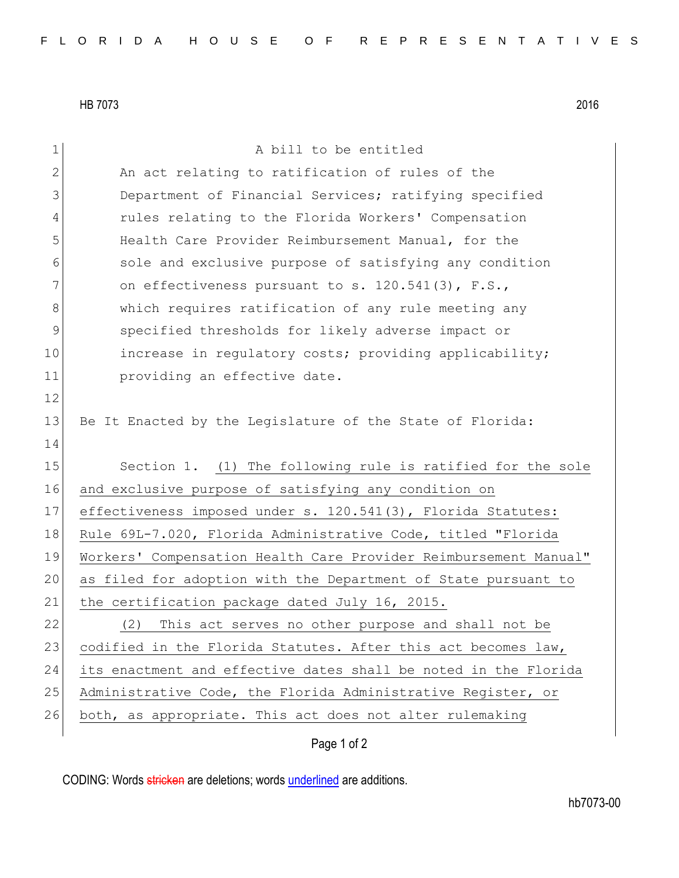HB 7073 2016

| $\mathbf 1$   | A bill to be entitled                                            |
|---------------|------------------------------------------------------------------|
| $\mathbf{2}$  | An act relating to ratification of rules of the                  |
| 3             | Department of Financial Services; ratifying specified            |
| 4             | rules relating to the Florida Workers' Compensation              |
| 5             | Health Care Provider Reimbursement Manual, for the               |
| 6             | sole and exclusive purpose of satisfying any condition           |
| 7             | on effectiveness pursuant to s. $120.541(3)$ , F.S.,             |
| 8             | which requires ratification of any rule meeting any              |
| $\mathcal{G}$ | specified thresholds for likely adverse impact or                |
| 10            | increase in regulatory costs; providing applicability;           |
| 11            | providing an effective date.                                     |
| 12            |                                                                  |
| 13            | Be It Enacted by the Legislature of the State of Florida:        |
| 14            |                                                                  |
| 15            | Section 1. (1) The following rule is ratified for the sole       |
| 16            | and exclusive purpose of satisfying any condition on             |
| 17            | effectiveness imposed under s. 120.541(3), Florida Statutes:     |
| 18            | Rule 69L-7.020, Florida Administrative Code, titled "Florida     |
| 19            | Workers' Compensation Health Care Provider Reimbursement Manual" |
| 20            | as filed for adoption with the Department of State pursuant to   |
| 21            | the certification package dated July 16, 2015.                   |
| 22            | (2) This act serves no other purpose and shall not be            |
| 23            | codified in the Florida Statutes. After this act becomes law,    |
| 24            | its enactment and effective dates shall be noted in the Florida  |
| 25            | Administrative Code, the Florida Administrative Register, or     |
| 26            | both, as appropriate. This act does not alter rulemaking         |
|               | Page 1 of 2                                                      |

CODING: Words stricken are deletions; words underlined are additions.